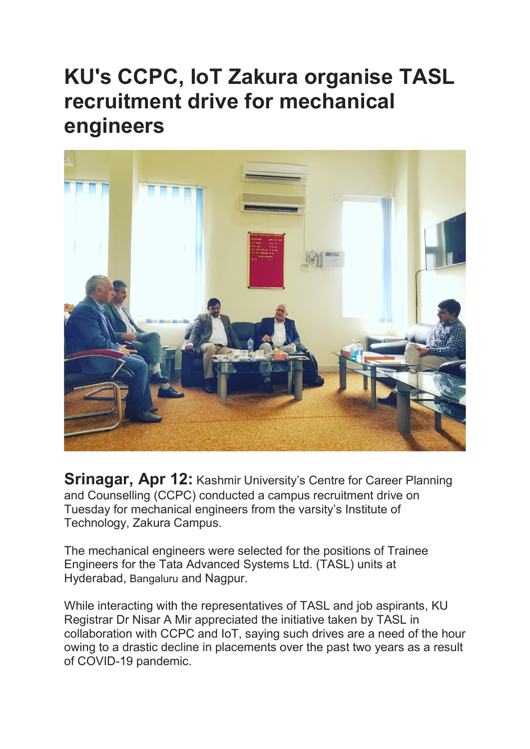## KU's CCPC, IoT Zakura organise TASL recruitment drive for mechanical engineers



**Srinagar, Apr 12: Kashmir University's Centre for Career Planning** and Counselling (CCPC) conducted a campus recruitment drive on Tuesday for mechanical engineers from the varsity's Institute of Technology, Zakura Campus.

The mechanical engineers were selected for the positions of Trainee Engineers for the Tata Advanced Systems Ltd. (TASL) units at Hyderabad, Bangaluru and Nagpur.

While interacting with the representatives of TASL and job aspirants, KU Registrar Dr Nisar A Mir appreciated the initiative taken by TASL in collaboration with CCPC and IoT, saying such drives are a need of the hour owing to a drastic decline in placements over the past two years as a result of COVID-19 pandemic.